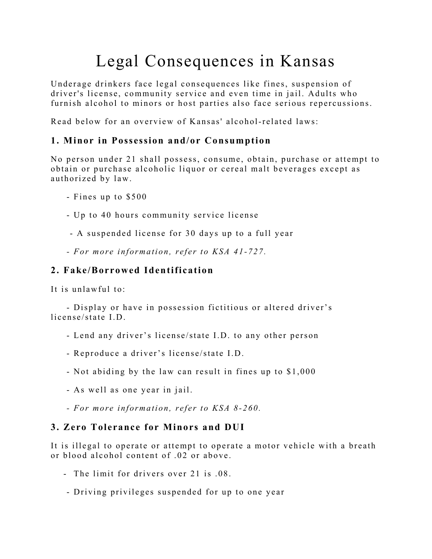## Legal Consequences in Kansas

Underage drinkers face legal consequences like fines, suspension of driver's license, community service and even time in jail. Adults who furnish alcohol to minors or host parties also face serious repercussions.

Read below for an overview of Kansas' alcohol-related laws:

#### **1. Minor in Possession and/or Consumption**

No person under 21 shall possess, consume, obtain, purchase or attempt to obtain or purchase alcoholic liquor or cereal malt beverages except as authoriz ed by law.

- Fines up to \$500
- Up to 40 hours community service license

- A suspended license for 30 days up to a full year

 *- For more information, refer to KSA 41- 727.*

#### **2. Fake/Borrowed Identification**

It is unlawful to:

 - Display or have in possession fictitious or altered driver's license/state I.D.

- Lend any driver's license/state I.D. to any other person
- Reproduce a driver's license/state I.D.
- Not abiding by the law can result in fines up to \$1,000
- As well as one year in jail.
- *- For more information, refer to KSA 8- 260.*

#### **3. Zero Tolerance for Minors and DUI**

It is illegal to operate or attempt to operate a motor vehicle with a breath or blood alcohol content of .02 or above.

- The limit for drivers over 21 is .08.
- Driving privileges suspended for up to one year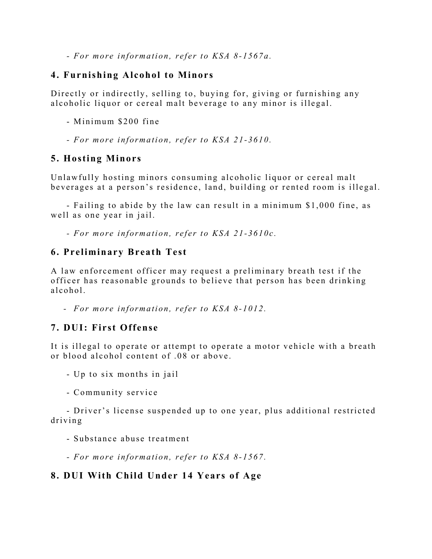*- For more information, refer to KSA 8- 1567a.*

#### **4. Furnishing Alcohol to Minors**

Directly or indirectly, selling to, buying for, giving or furnishing any alcoholic liquor or cereal malt beverage to any minor is illegal.

- Minimum \$200 fine

 *- For more information, refer to KSA 21- 3610.*

#### **5. Hosting Minors**

Unlawfully hosting minors consuming alcoholic liquor or cereal malt beverages at a person's residence, land, building or rented room is illegal.

 - Failing to abide by the law can result in a minimum \$1,000 fine, as well as one year in jail.

 *- For more information, refe r to KSA 21 - 3610c.*

#### **6. Preliminary Breath Test**

A law enforcement officer may request a preliminary breath test if the officer has reasonable grounds to believe that person has been drinking alcohol.

 *- For more information, refer to KSA 8- 1012.*

#### **7. DUI: First Offense**

It is illegal to operate or attempt to operate a motor vehicle with a breath or blood alcohol content of .08 or above.

- Up to six months in jail
- Community service

 - Driver's license suspended up to one year, plus additional restricted driving

- Substance abuse treatment
- *- For more information, refer to KSA 8- 1567.*

#### **8. DUI With Child Under 14 Years of Age**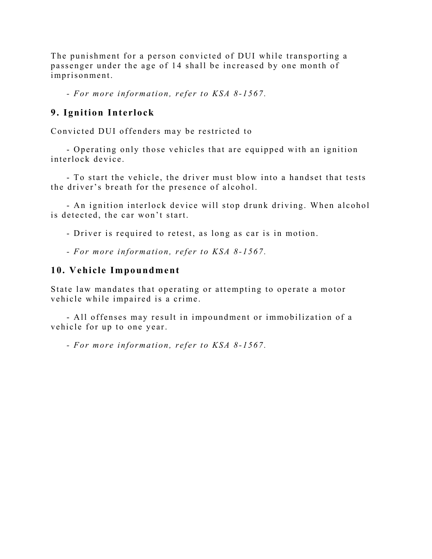The punishment for a person convicted of DUI while transporting a passenger under the age of 14 shall be increased by one month of imprisonment.

 *- For more information, refer to KSA 8- 1567.*

#### **9. Ignition Interlock**

Convicted DUI offenders may be restricted to

 - Operating only those vehicles that are equipped with an ignition interlock device.

- To start the vehicle, the driver must blow into a handset that tests the driver's breath for the presence of alcohol.

 - An ignition interlock device will stop drunk driving. When alcohol is detected, the car won't start.

- Driver is required to retest, as long as car is in motion.

 *- For more information, refer to KSA 8- 1567.*

#### **10. Vehicle Impoundment**

State law mandates that operating or attempting to operate a motor vehicle while impaired is a crime.

- All offenses may result in impoundment or immobilization of a vehicle for up to one year.

 *- For more information, refer to KSA 8- 1567.*